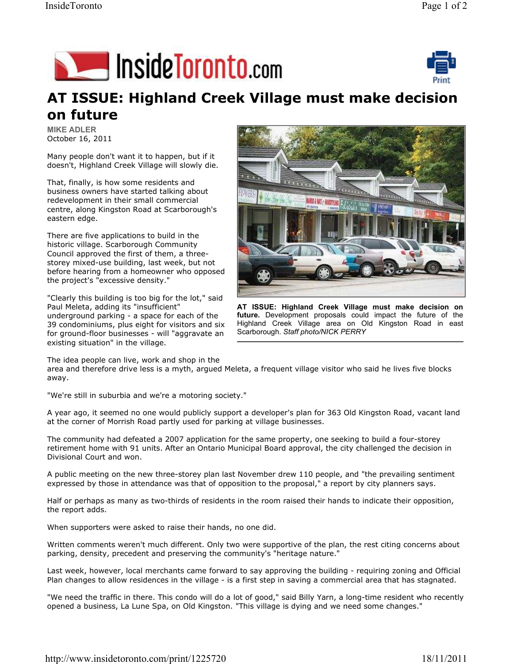



## AT ISSUE: Highland Creek Village must make decision on future

MIKE ADLER October 16, 2011

Many people don't want it to happen, but if it doesn't, Highland Creek Village will slowly die.

That, finally, is how some residents and business owners have started talking about redevelopment in their small commercial centre, along Kingston Road at Scarborough's eastern edge.

There are five applications to build in the historic village. Scarborough Community Council approved the first of them, a threestorey mixed-use building, last week, but not before hearing from a homeowner who opposed the project's "excessive density."

"Clearly this building is too big for the lot," said Paul Meleta, adding its "insufficient" underground parking - a space for each of the 39 condominiums, plus eight for visitors and six for ground-floor businesses - will "aggravate an existing situation" in the village.



AT ISSUE: Highland Creek Village must make decision on future. Development proposals could impact the future of the Highland Creek Village area on Old Kingston Road in east Scarborough. Staff photo/NICK PERRY

The idea people can live, work and shop in the

area and therefore drive less is a myth, argued Meleta, a frequent village visitor who said he lives five blocks away.

"We're still in suburbia and we're a motoring society."

A year ago, it seemed no one would publicly support a developer's plan for 363 Old Kingston Road, vacant land at the corner of Morrish Road partly used for parking at village businesses.

The community had defeated a 2007 application for the same property, one seeking to build a four-storey retirement home with 91 units. After an Ontario Municipal Board approval, the city challenged the decision in Divisional Court and won.

A public meeting on the new three-storey plan last November drew 110 people, and "the prevailing sentiment expressed by those in attendance was that of opposition to the proposal," a report by city planners says.

Half or perhaps as many as two-thirds of residents in the room raised their hands to indicate their opposition, the report adds.

When supporters were asked to raise their hands, no one did.

Written comments weren't much different. Only two were supportive of the plan, the rest citing concerns about parking, density, precedent and preserving the community's "heritage nature."

Last week, however, local merchants came forward to say approving the building - requiring zoning and Official Plan changes to allow residences in the village - is a first step in saving a commercial area that has stagnated.

"We need the traffic in there. This condo will do a lot of good," said Billy Yarn, a long-time resident who recently opened a business, La Lune Spa, on Old Kingston. "This village is dying and we need some changes."